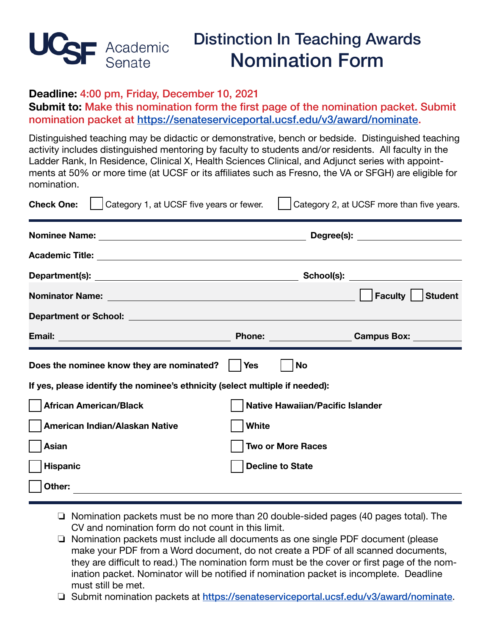

## **Deadline:** 4:00 pm, Friday, December 10, 2021

**Submit to:** Make this nomination form the first page of the nomination packet. Submit nomination packet at [https://senateserviceportal.ucsf.edu/v3/award/nominate.](https://senateserviceportal.ucsf.edu/v3/award/nominate)

Distinguished teaching may be didactic or demonstrative, bench or bedside. Distinguished teaching activity includes distinguished mentoring by faculty to students and/or residents. All faculty in the Ladder Rank, In Residence, Clinical X, Health Sciences Clinical, and Adjunct series with appointments at 50% or more time (at UCSF or its affiliates such as Fresno, the VA or SFGH) are eligible for nomination.

| <b>Check One:</b><br>Category 1, at UCSF five years or fewer.                |                                         | Category 2, at UCSF more than five years. |  |
|------------------------------------------------------------------------------|-----------------------------------------|-------------------------------------------|--|
|                                                                              |                                         | Degree(s): _______________________        |  |
|                                                                              |                                         |                                           |  |
|                                                                              |                                         |                                           |  |
|                                                                              |                                         | <b>Faculty</b><br><b>Student</b>          |  |
|                                                                              |                                         |                                           |  |
|                                                                              |                                         | <b>Campus Box:</b>                        |  |
| Does the nominee know they are nominated?                                    | <b>Yes</b>                              | <b>No</b>                                 |  |
| If yes, please identify the nominee's ethnicity (select multiple if needed): |                                         |                                           |  |
| <b>African American/Black</b>                                                | <b>Native Hawaiian/Pacific Islander</b> |                                           |  |
| American Indian/Alaskan Native                                               | <b>White</b>                            |                                           |  |
| Asian                                                                        | <b>Two or More Races</b>                |                                           |  |
| <b>Hispanic</b>                                                              |                                         | <b>Decline to State</b>                   |  |
| Other:                                                                       |                                         |                                           |  |

- ❏ Nomination packets must be no more than 20 double-sided pages (40 pages total). The CV and nomination form do not count in this limit.
- ❏ Nomination packets must include all documents as one single PDF document (please make your PDF from a Word document, do not create a PDF of all scanned documents, they are difficult to read.) The nomination form must be the cover or first page of the nomination packet. Nominator will be notified if nomination packet is incomplete. Deadline must still be met.

 ❏ Submit nomination packets at <https://senateserviceportal.ucsf.edu/v3/award/nominate>.